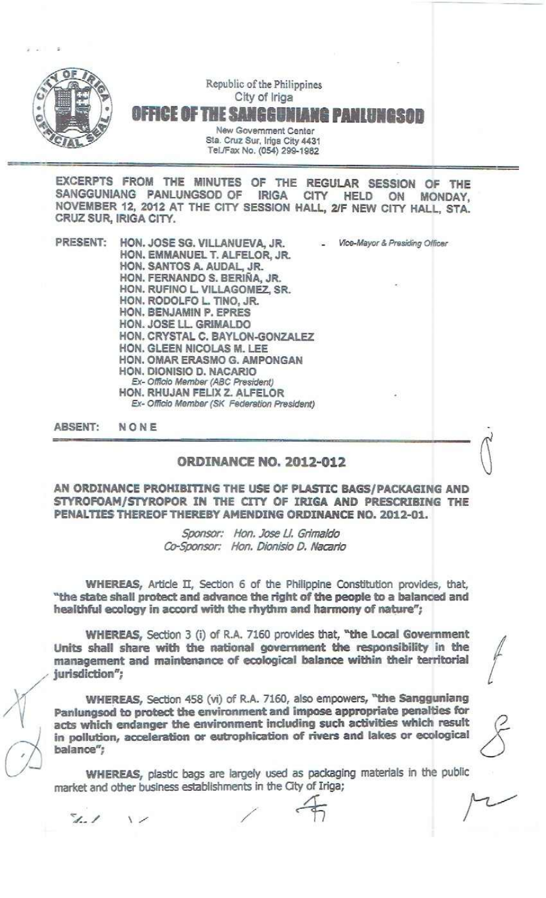

Republic of the Philippines City of Iriga OFFICE OF THE SANGGUNIANG PANLUI New Government Center

Sta. Cruz Sur, Iriga City 4431 Tel.JFax No. (054) 299-1982

EXCERPTS FROM THE MINUTES OF THE REGULAR SESSION OF THE SANGGUNIANG PANLUNGSOD OF IRIGA CITY HELD ON MONDAY, NOVEMBER 12,2012 AT THE CITY SESSION HALL., 2JF NEW CITY HALL, STA. CRUZ SUR, IRIGA CITY.

PRESENT: HON. JOSE SG. VILLANUEVA, JR. - *Vfce-Mayor&Prssiding Officar* HON. EMMANUEL T. ALFELOR, JR. HON. SANTOS A. AUDAL, JR. HON. FERNANDO S. BERlfilA, JR. HON. RUFINO L VILLAGOMEZ, SR. HON. RODOLFO L. TINO, JR. HON. BENJAMIN P. EPRES HON. JOSE LL GRIMALDO HON. CRYSTAL C. BAYLON-GONZALEZ HON. GLEEN NICOLAS M. LEE HON. OMAR ERASMO G. AMPONGAN HON. DIONISIO D. NACARJO  $Ex$ - *Officio Member* (ABC President) HON. RHUJAN FELIX Z. ALFELOR *Ex-* Officio *Member (SK F8deration Pr&sId8nt)*

ABSENT: NONE

## ORDINANCE NO. 2012-012

AN ORDINANCE PROHIBITING THE USE OF PLASTIC BAGS/PACKAGING AND STYROFOAM/STYROPOR IN THE CITY OF IRiGA AND PRESCRIBING THE PENALTIES THEREOF THEREBY AMENDING ORDINANCE NO. 2012-01.

> *Sponsor: Hon. Jose U. Grimaldo aJ-Sponsor: Han. Dionisio O. Nacarfo*

WHEREAS, Article II, Section 6 of the Philippine Constitution provides, that, "the state shall protect and advance the right of the people to a balanced and healthful ecology in accord with the rhythm and harmony of nature";

WHEREAS, Section 3 (i) of R.A. 7160 provides that, "the Local Government Units shall share with the national government the responsibility in the management and maintenance of ecological balance within their territorial jurisdiction";

WHEREAS, Section 458 (vi) of R.A. 7160, also empowers, "the Sangguniang Panlungsod to protect the environment and impose appropriate penalties for acts which endanger the environment including such activities which result in pollution, acceleration or eutrophication of rivers and lakes or ecological balance";

WHEREAS, plastic bags are largely used as packaging materials in the public market and other business establishments in the City of Iriga;

;( d

 $1.1$  $\qquad \qquad$ 

*I*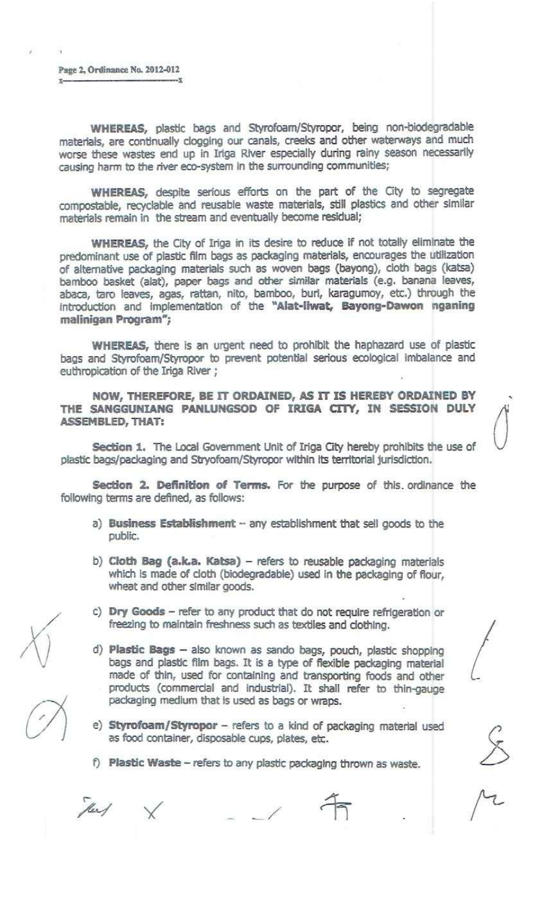Page 2, Ordinance No. 2012-012 x x

WHEREAS, plastic bags and Styrofoam/Styropor, being non-biodegradable materials, are continually dogging our canals, creeks and other waterways and much worse these wastes end up in Irlga RiVer especially during rainy season necessarily causing harm to the river eco-system In the surrounding communities;

WHEREAS, despite serious efforts on the part of the City to segregate compostable, recyclable and reusable waste materials, still plastics and other similar materials remain in the stream and eventually become residual;

WHEREAS, the City of Iriga in its desire to reduce if not totally eliminate the predominant use of plastic film bags as packaging materials, encourages the utilization of alternative packaging materials such as woven bags (bayong), cloth bags (katsa) bamboo basket (alat), paper bags and other similar materials (e.g. banana leaves, abaca, taro leaves, agas, rattan, nito, bamboo, burl, karagumoy, *etc.)* through the Introduction and implementation of the "Alat-llwat, Bayong-Dawon nganlng malinigan Program";

WHEREAS, there is an urgent need to prohibit the haphazard use of plastic bags and Styrofoam/Styropor to prevent potential serious ecological imbalance and euthropication of the Iriga River ;

NOW, THEREFORE, BE IT ORDAINED, AS IT IS HEREBY ORDAINED BY THE SANGGUNIANG PANLUNGSOD OF IRIGA CITY, IN SESSION DULY ASSEMBLED, THAT:

Section 1. The Local Government Unit of Iriga City hereby prohibits the use of plastic bags/packaging and Stryofoam/Styropor within Its territorial jurisdiction.

Section 2. Definition of Terms. For the purpose of this ordinance the following terms are defined, as follows:

- a) Business Establishment any establishment that sell goods to the public.
- b) Cloth Bag (a.k.a. Katsa) refers to reusable packaging materials which is made of cloth (biodegradable) used in the packaging of flour, wheat and other similar goods.
- c) Dry Goods refer to any product that do not require refrigeration or freezlng to maintain freshness such as textiles and dothlng.
- d) Plastic Bags also known as sando bags, pouch, plastic shopping bags and plastic film bags. It is a type of flexible packaging material made of thin, used for containing and transporting foods and other products (commercial and Industrial). It shall refer to thln-gauge packaging medium that is used as bags or wraps.
- e) Styrofoam/Styropor refers to a kind of packaging material used as food container, disposable cups, plates, etc.
- f) Plastic Waste refers to any plastic packaging thrown as waste.

They

\_/



,

 $\bigcup$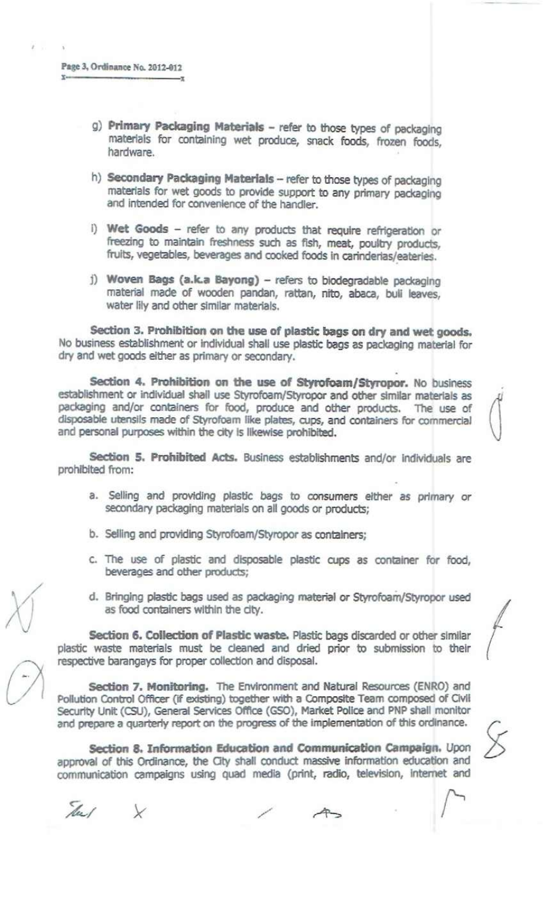- g) Primary Packaging Materials refer to those types of packaging materials for containing wet produce, snack foods, frozen foods, hardware.
- h) Secondary Packaging Materials refer to those types of packaging materials for wet goods to provide support to any primary packaging and intended for convenience of the handler.
- I) Wet Goods refer to any products that require refrigeration or freezing to maintain freshness such as fish, meat, poultry products, fruits, vegetables, beverages and cooked foods in carinderias/eateries.
- j) Woven Bags (a.k.a Bayong) refers to biodegradable packaging material made of wooden pandan, rattan, nito, abaca, bull leaves, water lily and other Similar materials.

Section 3. Prohibition on the use of plastic bags on dry and wet goods. No business establishment or individual shall use plastic bags as packaging material for dry and wet goods elther as primary or secondary.

Section 4. Prohibition on the use of Styrofoam/Styropor. No business establishment or individual shall use Styrofoam/Styropor and other similar materials as packaging and/or containers for food, produce and other products. The use of disposable utensils made of styrofoam like plates, cups, and containers for commercial and personal purposes within the city is likewise prohibited.

 $\mathcal{A}^i$ 

Section 5. Prohibited Acts. Business establishments and/or individuals are prohibited from:

- a. Selling and providing plastic bags to consumers either as primary or secondary packaging materials on all goods or products;
- b. selling and providing Styrofoam/Styropor as containers;
- c. The use of plastic and disposable plastic cups as container for food, beverages and other products;
- d. Bringing plastic bags used as packaging material or Styrofoam/Styropor used as food containers within the dty.

Section 6. Collection of Plastic waste. Plastic bags discarded or other similar plastic waste materials must be deaned and dried prior to submission to their respective barangays for proper collection and disposal.

Section 7. Monitoring. The Environment and Natural Resources (ENRO) and Pollution Control Officer (If existing) together with a Composite Team composed of CIvIl Security Unit (CSU), General Services Office (GSO), Market Police and PNP shall monitor and prepare a quarterly report on the progress of the implementation of this ordinance.

Section 8. Information Education and Communication Campaign. Upon approval of this Ordinance, the City shall conduct massive information education and communication campaigns using quad media (print, radio, television, internet and

Tu/

/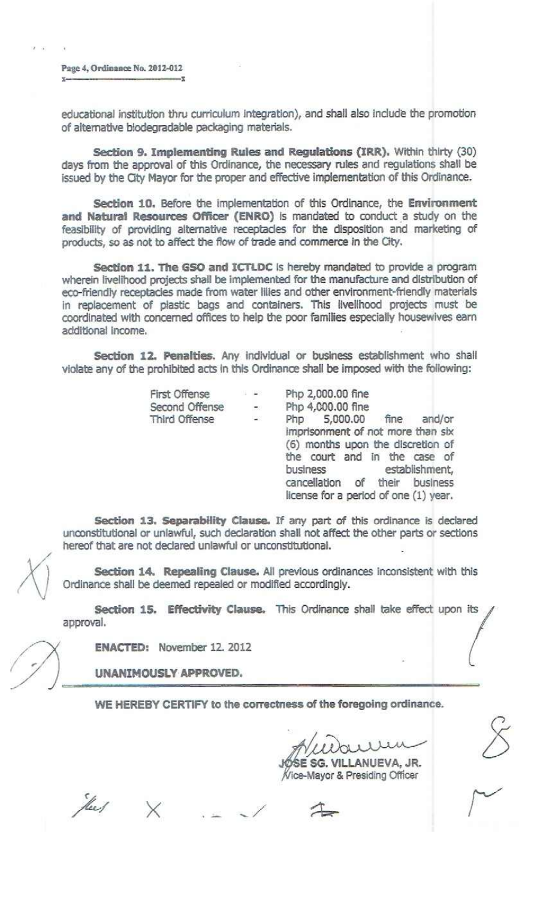Page 4, Ordinance No. 2012-012  $\sum_{i=1}^n x_i \cdot x_i = \sum_{i=1}^n x_i \cdot x_i = \sum_{i=1}^n x_i \cdot x_i = \sum_{i=1}^n x_i \cdot x_i = \sum_{i=1}^n x_i \cdot x_i = \sum_{i=1}^n x_i \cdot x_i = \sum_{i=1}^n x_i \cdot x_i = \sum_{i=1}^n x_i \cdot x_i = \sum_{i=1}^n x_i \cdot x_i = \sum_{i=1}^n x_i \cdot x_i = \sum_{i=1}^n x_i \cdot x_i = \sum_{i=1}^n x_i \cdot x_i = \sum_{i=1}^n x_i \cdot x_i = \sum_{i=1}^n x_i \$ 

 $\lambda$ 

educational institution thru curriculum integration), and shall also include the promotion of alternative biodegradable packaging materials.

Section 9. Implementing Rules and Regulations (IRR). Within thirty (30) days from the approval of this Ordinance, the necessary rules and regulations shall be issued by the Oty Mayor for the proper and effective implementation of this Ordinance.

Section 10. Before the implementation of this Ordinance, the Environment and Natural Resources Officer (ENRO) is mandated to conduct a study on the feasibility of providing alternative receptades for the disposition and marketing of products, so as not to affect the flow of trade and commerce in the City.

section 11. The GSO and ICTLDC Is hereby mandated to provide a program wherein livelihood projects shall be implemented for the manufacture and distribution of eco-friendly receptacles made from water lilies and other environment-friendly materials in replacement of plastic bags and containers. This livelihood projects must be coordinated with concemed offlces to help the poor families especially housewives earn additional Income.

Section 12. Penalties. Any individual or business establishment who shall violate any of the prohibited acts tn this Ordinance shall be imposed with the following:

| <b>First Offense</b> | 事 連続                                 | Php 2,000.00 fine                                                                                                                                                                                               |
|----------------------|--------------------------------------|-----------------------------------------------------------------------------------------------------------------------------------------------------------------------------------------------------------------|
| Second Offense       | $\langle \frac{1}{\sqrt{2}} \rangle$ | Php 4,000.00 fine                                                                                                                                                                                               |
| Third Offense        | $\frac{1}{2}$                        | Php 5,000.00 fine<br>and/or                                                                                                                                                                                     |
|                      |                                      | imprisonment of not more than six<br>(6) months upon the discretion of<br>the court and in the case of<br>establishment,<br>business<br>cancellation of their business<br>license for a period of one (1) year. |

Section 13. Separability Clause. If any part of this ordinance is declared unconstitutional or unlawful, such declaration shall not affect the other parts or sections hereof that are not declared unlawful or unconstitutional.

Section 14. Repealing Clause. All previous ordinances inconsistent with this Ordinance shall be deemed repealed or modified accordingly.

Section 15. Effectivity Clause. This Ordinance shall take effect upon its approval.

ENACTED: November 12. 2012

UNANIMOUSLY APPROVED.

WE HEREBY CERTIFY to the correctness of the foregoing ordinance.

E SG. VILLANUEVA, JR. Vice-Mayor & Presiding Officer

Year/

x